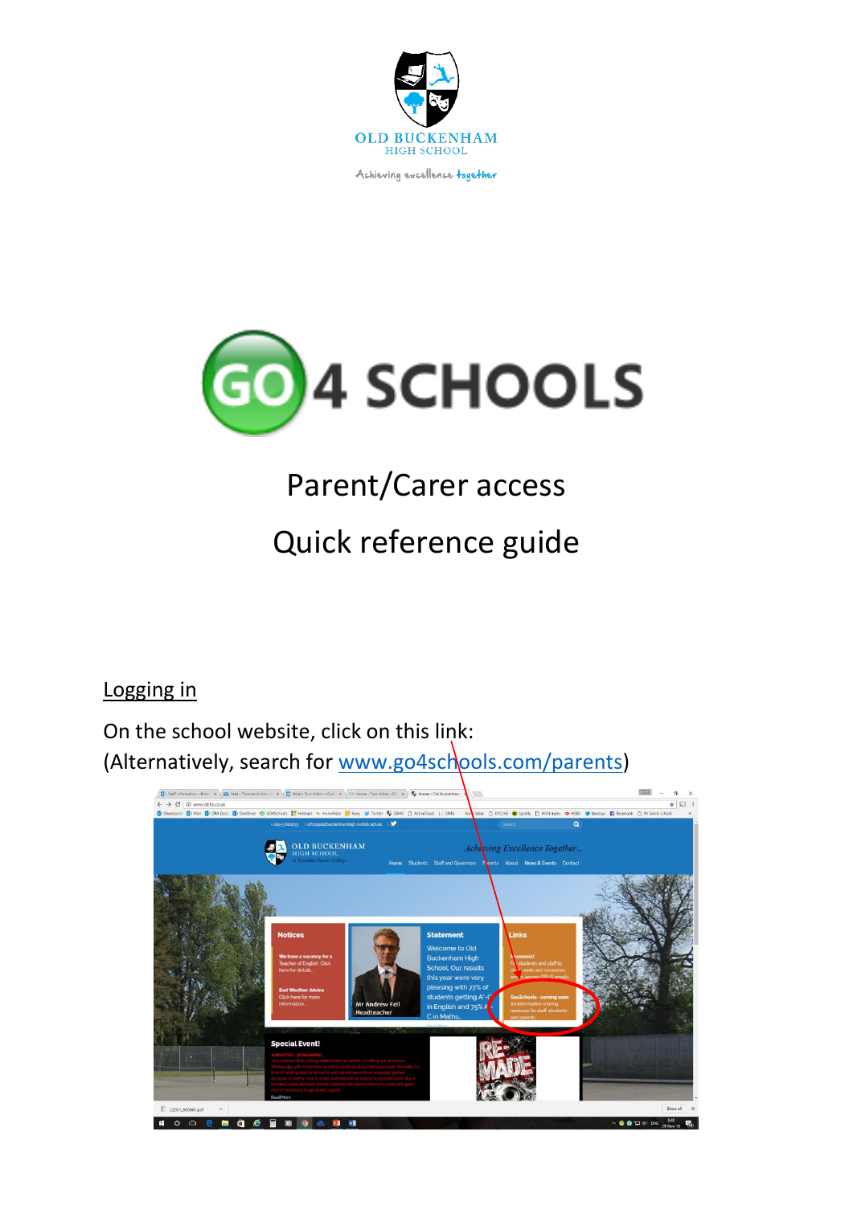

Achieving excellence together



# Parent/Carer access

## Quick reference guide

### Logging in

On the school website, click on this link: (Alternatively, search for [www.go4schools.com/parents\)](http://www.go4schools.com/parents)

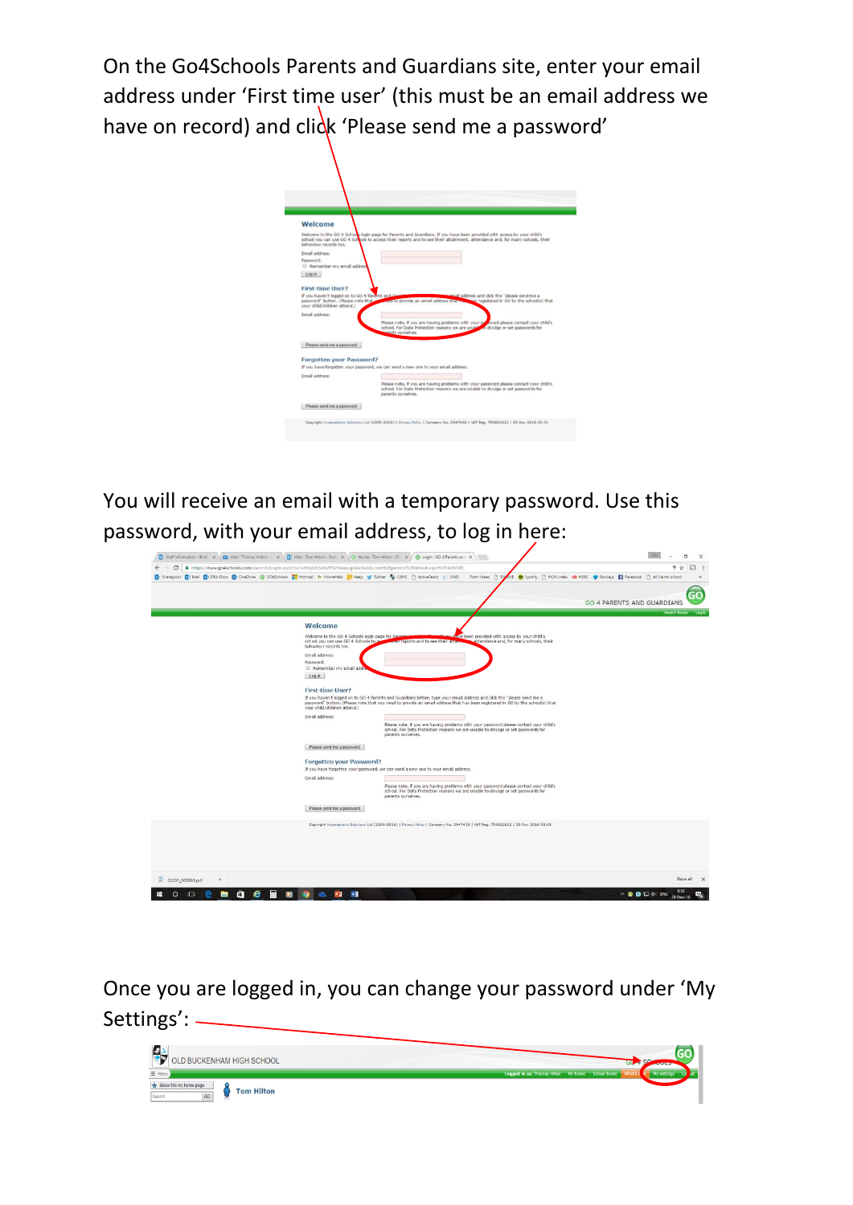On the Go4Schools Parents and Guardians site, enter your email address under 'First time user' (this must be an email address we have on record) and click 'Please send me a password'

| Welcome                                                                                  |                                                                                                                                                                                                   |
|------------------------------------------------------------------------------------------|---------------------------------------------------------------------------------------------------------------------------------------------------------------------------------------------------|
|                                                                                          | Welcome to the GO 4 Schools login page for Parents and Guardians, If you have been provided with access by your child's                                                                           |
| behaviour records too.                                                                   | school you can use GO 4 Schools to access their reports and to see their attainment, attendance and, for many schools, their                                                                      |
| Email address:                                                                           |                                                                                                                                                                                                   |
| Password:                                                                                |                                                                                                                                                                                                   |
| <b>El Remember my email addres</b><br>Login                                              |                                                                                                                                                                                                   |
|                                                                                          |                                                                                                                                                                                                   |
| First-time User?                                                                         |                                                                                                                                                                                                   |
| If you haven't logged on to GO 4 Parents and G<br>password" button. (Please note that we | anall address and click the "please send me a<br>ento provide an email address that<br>sen registered in GO by the school(s) that                                                                 |
| your child/children attend.)                                                             |                                                                                                                                                                                                   |
| Fmail address:                                                                           |                                                                                                                                                                                                   |
|                                                                                          | Please note, if you are having problems with your py word please contact your child's<br>school. For Data Protection reasons we are unable to divulge or set passwords for<br>cents ourselves.    |
| Please send me a password                                                                |                                                                                                                                                                                                   |
|                                                                                          |                                                                                                                                                                                                   |
| Forgotten your Password?                                                                 | If you have forgotten your password, we can send a new one to your email address.                                                                                                                 |
| Email address:                                                                           |                                                                                                                                                                                                   |
|                                                                                          | Please note, if you are having problems with your password please contact your child's<br>school. For Data Protection reasons we are unable to divulge or set passwords for<br>parents ourselves. |

You will receive an email with a temporary password. Use this password, with your email address, to log in here:

|                                                                                                                                                                                                                                                                                         | GO                                |
|-----------------------------------------------------------------------------------------------------------------------------------------------------------------------------------------------------------------------------------------------------------------------------------------|-----------------------------------|
|                                                                                                                                                                                                                                                                                         | <b>GO 4 PARENTS AND GUARDIANS</b> |
|                                                                                                                                                                                                                                                                                         | Parent home                       |
| Welcome                                                                                                                                                                                                                                                                                 |                                   |
| ive been provided with access by your child's<br>Welcome to the GO 4 Schools login page for Pares<br>school you can use GO 4 Schools to ac-<br>reit reports and to see their atten-<br>attendance and, for many schools, their<br>behaviour records too.                                |                                   |
| Email address:                                                                                                                                                                                                                                                                          |                                   |
| Password:<br>Remember my email addr                                                                                                                                                                                                                                                     |                                   |
| Log in                                                                                                                                                                                                                                                                                  |                                   |
| <b>First-time User?</b>                                                                                                                                                                                                                                                                 |                                   |
| If you haven't logged on to GO 4 Parents and Guardians before, type your email address and click the "please send me a<br>password" button. (Please note that you need to provide an email address that has been registered in GO by the school(s) that<br>your child/children attend.) |                                   |
| Email address:<br>Please note, if you are having problems with your password please contact your child's<br>school. For Data Protection reasons we are unable to divulge or set passwords for<br>parents ourselves.                                                                     |                                   |
| Please send me a password                                                                                                                                                                                                                                                               |                                   |
| Forgotten your Password?                                                                                                                                                                                                                                                                |                                   |
| If you have forgotten your password, we can send a new one to your email address.                                                                                                                                                                                                       |                                   |
| Email address:<br>Please note, if you are having problems with your password please contact your child's<br>school. For Data Protection reasons we are unable to divulge or set passwords for<br>parents ourselves.                                                                     |                                   |
| Please send me a password                                                                                                                                                                                                                                                               |                                   |
| Copyright Hyperspheric Solutions Ltd (2009-2016)   Privacy Policy   Company No. 3947438   VAT Reg. 750682623   29 Nov 2016 00:51                                                                                                                                                        |                                   |
|                                                                                                                                                                                                                                                                                         |                                   |
|                                                                                                                                                                                                                                                                                         |                                   |
|                                                                                                                                                                                                                                                                                         |                                   |
|                                                                                                                                                                                                                                                                                         |                                   |
|                                                                                                                                                                                                                                                                                         |                                   |

Once you are logged in, you can change your password under 'My Settings':

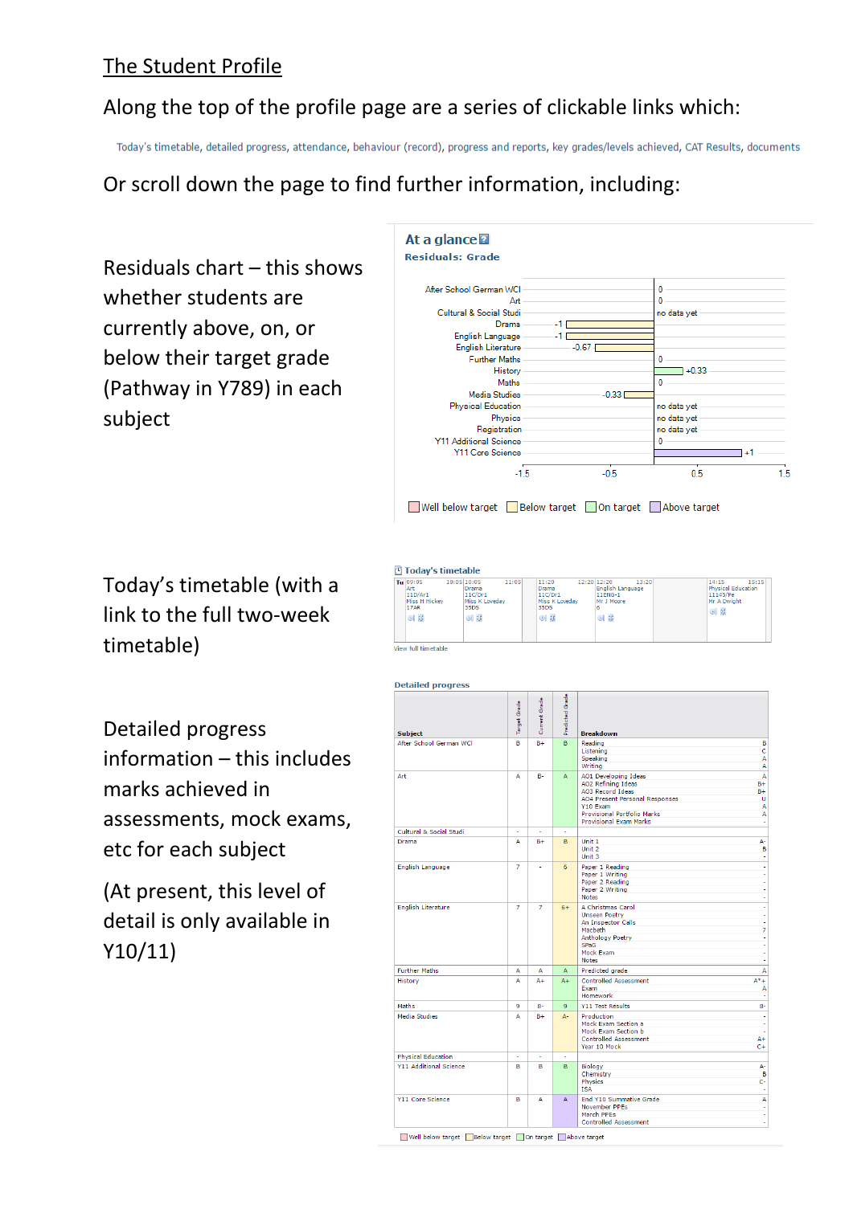#### The Student Profile

#### Along the top of the profile page are a series of clickable links which:

Today's timetable, detailed progress, attendance, behaviour (record), progress and reports, key grades/levels achieved, CAT Results, documents

#### Or scroll down the page to find further information, including:

Residuals chart – this shows whether students are currently above, on, or below their target grade (Pathway in Y789) in each subject



Today's timetable (with a link to the full two-week timetable)

Detailed progress information – this includes marks achieved in assessments, mock exams, etc for each subject

(At present, this level of detail is only available in Y10/11)



| <b>Subject</b>                | Target Grade | Current Grade | Predicted Grade | <b>Breakdown</b>                                                                                                                                                                           |                                          |
|-------------------------------|--------------|---------------|-----------------|--------------------------------------------------------------------------------------------------------------------------------------------------------------------------------------------|------------------------------------------|
| After School German WCI       | B            | $B +$         | B               | Reading<br>Listening<br>Speaking<br>Writing                                                                                                                                                | B<br>Ċ<br>A<br>A                         |
| Art                           | A            | <b>B-</b>     | A               | AO1 Developing Ideas<br>AO2 Refining Ideas<br>AO3 Record Ideas<br><b>AO4 Present Personal Responses</b><br>Y10 Exam<br><b>Provisional Portfolio Marks</b><br><b>Provisional Exam Marks</b> | A<br>$B +$<br>$B +$<br>Ù<br>A<br>A<br>×, |
| Cultural & Social Studi       | ÷            | $\mathbf{r}$  | ä,              |                                                                                                                                                                                            |                                          |
| Drama                         | Δ            | $B +$         | в               | Unit 1<br>Unit 2<br>Unit 3                                                                                                                                                                 | А-<br>B<br>÷,                            |
| <b>English Language</b>       | 7            | ÷.            | 6               | Paper 1 Reading<br>Paper 1 Writing<br>Paper 2 Reading<br>Paper 2 Writing<br><b>Notes</b>                                                                                                   | ٠<br>÷<br>i,<br>i,                       |
| <b>English Literature</b>     | 7            | 7             | $6+$            | A Christmas Carol<br><b>Unseen Poetry</b><br>An Inspector Calls<br>Macbeth<br>Anthology Poetry<br><b>SPaG</b><br>Mock Exam<br><b>Notes</b>                                                 | ł<br>ł<br>i,<br>7<br>÷<br>÷<br>÷<br>÷    |
| <b>Further Maths</b>          | A            | А             | A               | Predicted grade                                                                                                                                                                            | A                                        |
| History                       | А            | $A +$         | $A +$           | <b>Controlled Assessment</b><br>Exam<br><b>Homework</b>                                                                                                                                    | $A^*+$<br>А<br>ł                         |
| Maths                         | 9            | $8-$          | 9               | <b>Y11 Test Results</b>                                                                                                                                                                    | $8-$                                     |
| <b>Media Studies</b>          | A            | $B +$         | Д-              | Production<br>Mock Exam Section a<br>Mock Exam Section b<br><b>Controlled Assessment</b><br>Year 10 Mock                                                                                   | f<br>÷<br>į,<br>$A +$<br>$C +$           |
| <b>Physical Education</b>     | ÷            | ÷.            | ÷.              |                                                                                                                                                                                            |                                          |
| <b>Y11 Additional Science</b> | B            | B             | B               | Biology<br>Chemistry<br><b>Physics</b><br><b>ISA</b>                                                                                                                                       | A-<br>B<br>ċ.<br>٠                       |
| <b>Y11 Core Science</b>       | в            | А             | Δ               | End Y10 Summative Grade<br>November PPEs<br>March PPEs<br><b>Controlled Assessment</b>                                                                                                     | A<br>f<br>ł<br>٠                         |